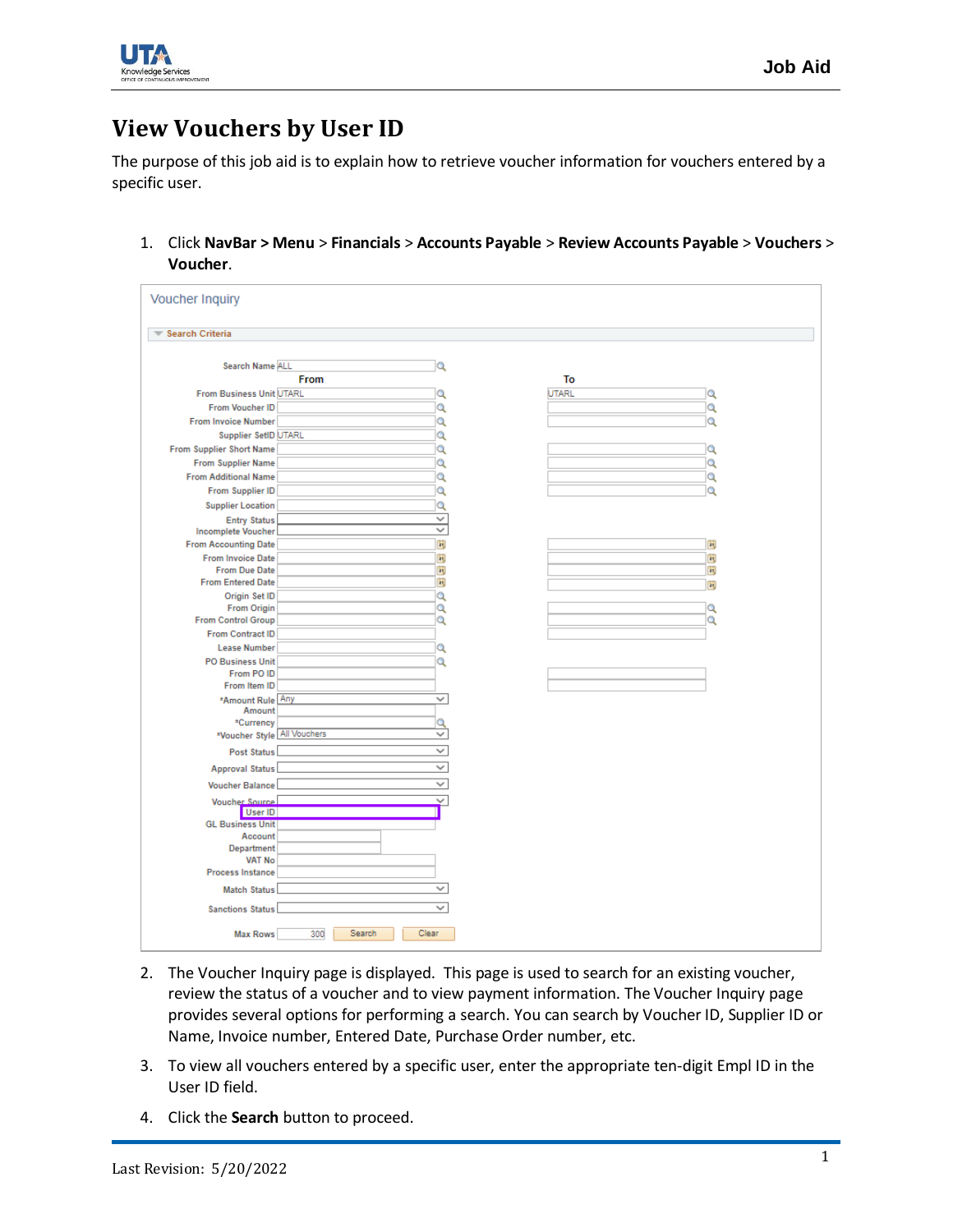

## **View Vouchers by User ID**

The purpose of this job aid is to explain how to retrieve voucher information for vouchers entered by a specific user.

1. Click **NavBar > Menu** > **Financials** > **Accounts Payable** > **Review Accounts Payable** > **Vouchers** > **Voucher**.

| <b>Voucher Inquiry</b>          |                        |              |              |     |
|---------------------------------|------------------------|--------------|--------------|-----|
| Search Criteria                 |                        |              |              |     |
| Search Name ALL                 |                        | Q            |              |     |
|                                 | From                   |              | To           |     |
| <b>From Business Unit UTARL</b> |                        | Q            | <b>UTARL</b> | Q   |
| From Voucher ID                 |                        | Q            |              | Q   |
| <b>From Invoice Number</b>      |                        | Q            |              | Q   |
| Supplier SetID UTARL            |                        | Q            |              |     |
| From Supplier Short Name        |                        | Q            |              | Q   |
| <b>From Supplier Name</b>       |                        | Q            |              | Q   |
| <b>From Additional Name</b>     |                        | Q            |              | Q   |
| From Supplier ID                |                        | Q            |              | Q   |
| <b>Supplier Location</b>        |                        | Q            |              |     |
| <b>Entry Status</b>             |                        | v            |              |     |
| <b>Incomplete Voucher</b>       |                        | v            |              |     |
| <b>From Accounting Date</b>     |                        | Bt.          |              | ēt, |
| <b>From Invoice Date</b>        |                        | et,          |              | ät, |
| <b>From Due Date</b>            |                        | št,          |              | ēt, |
| <b>From Entered Date</b>        |                        | et,          |              | ät, |
| Origin Set ID                   |                        | Q            |              |     |
| <b>From Origin</b>              |                        | Q            |              | Q   |
| <b>From Control Group</b>       |                        | Q            |              | Q   |
| From Contract ID                |                        |              |              |     |
| <b>Lease Number</b>             |                        | Q            |              |     |
| <b>PO Business Unit</b>         |                        | Q            |              |     |
| From PO ID                      |                        |              |              |     |
| From Item ID                    |                        |              |              |     |
| *Amount Rule Any                |                        | v            |              |     |
| Amount<br>*Currency             |                        | Q            |              |     |
| *Voucher Style All Vouchers     |                        | v            |              |     |
|                                 |                        |              |              |     |
| <b>Post Status</b>              |                        | v            |              |     |
| <b>Approval Status</b>          |                        | ✓            |              |     |
| <b>Voucher Balance</b>          |                        | v            |              |     |
| Voucher Source                  |                        | v            |              |     |
| User ID                         |                        |              |              |     |
| <b>GL Business Unit</b>         |                        |              |              |     |
| Account                         |                        |              |              |     |
| Department                      |                        |              |              |     |
| <b>VAT No</b>                   |                        |              |              |     |
| <b>Process Instance</b>         |                        |              |              |     |
| <b>Match Status</b>             |                        | $\checkmark$ |              |     |
| <b>Sanctions Status</b>         |                        | v            |              |     |
| <b>Max Rows</b>                 | Search<br>Clear<br>300 |              |              |     |

- 2. The Voucher Inquiry page is displayed. This page is used to search for an existing voucher, review the status of a voucher and to view payment information. The Voucher Inquiry page provides several options for performing a search. You can search by Voucher ID, Supplier ID or Name, Invoice number, Entered Date, Purchase Order number, etc.
- 3. To view all vouchers entered by a specific user, enter the appropriate ten-digit Empl ID in the User ID field.
- 4. Click the **Search** button to proceed.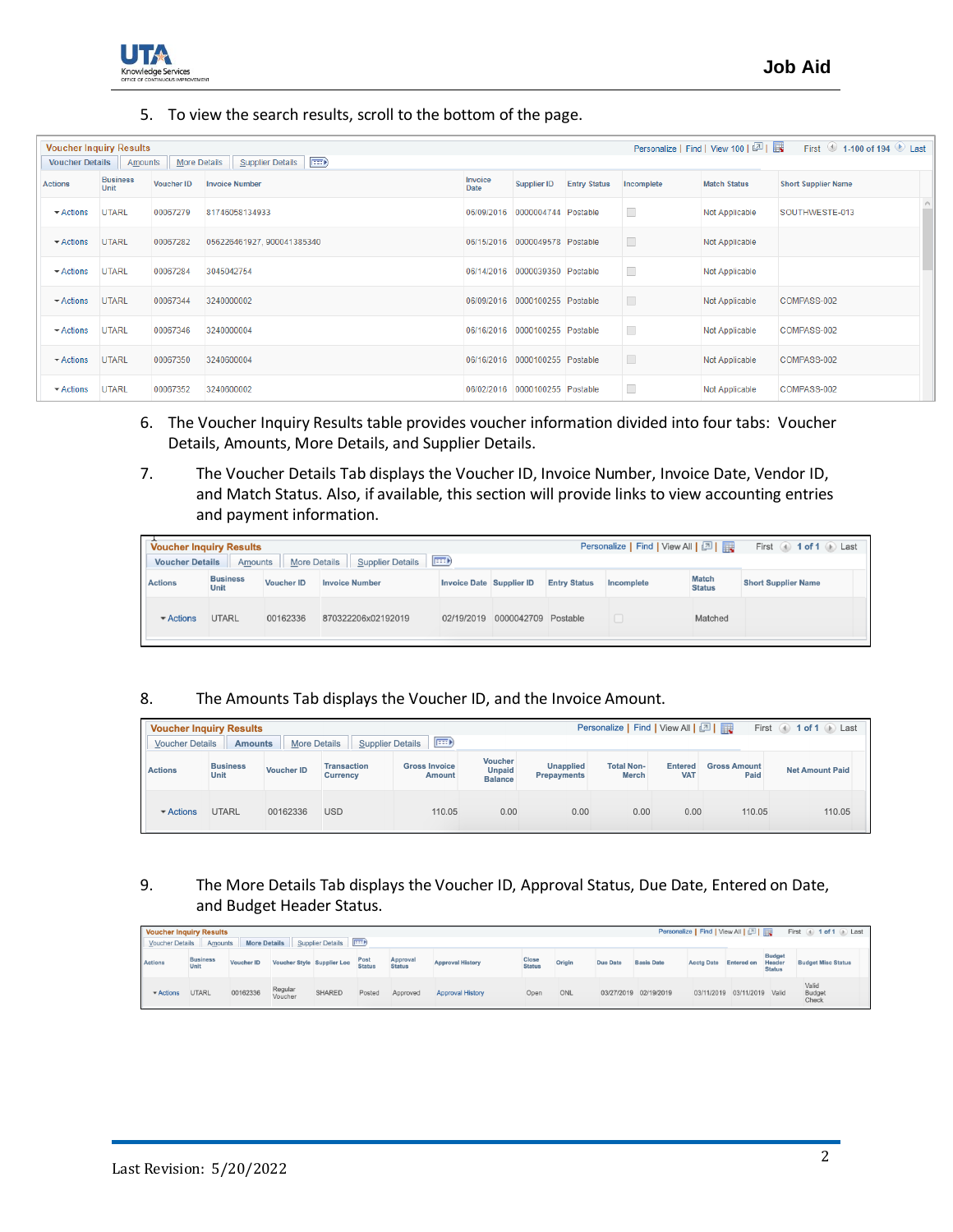## 5. To view the search results, scroll to the bottom of the page.

|                               | Personalize   Find   View 100   2    <br><b>Voucher Inquiry Results</b><br>First $\bullet$ 1-100 of 194 $\bullet$ Last |                   |                                         |                 |                                |                     |                          |                     |                            |  |  |  |
|-------------------------------|------------------------------------------------------------------------------------------------------------------------|-------------------|-----------------------------------------|-----------------|--------------------------------|---------------------|--------------------------|---------------------|----------------------------|--|--|--|
|                               | Voucher Details   Amounts                                                                                              |                   | More Details   Supplier Details   (TTT) |                 |                                |                     |                          |                     |                            |  |  |  |
| <b>Actions</b>                | <b>Business</b><br>Unit                                                                                                | <b>Voucher ID</b> | <b>Invoice Number</b>                   | Invoice<br>Date | <b>Supplier ID</b>             | <b>Entry Status</b> | Incomplete               | <b>Match Status</b> | <b>Short Supplier Name</b> |  |  |  |
| $\blacktriangleright$ Actions | <b>UTARL</b>                                                                                                           | 00067279          | 81746058134933                          |                 | 06/09/2016 0000004744 Postable |                     | $\Box$                   | Not Applicable      | SOUTHWESTE-013             |  |  |  |
| $\blacktriangleright$ Actions | <b>UTARL</b>                                                                                                           | 00067282          | 056226461927, 900041385340              |                 | 06/15/2016 0000049578 Postable |                     | $\Box$                   | Not Applicable      |                            |  |  |  |
| $\blacktriangleright$ Actions | <b>UTARL</b>                                                                                                           | 00067284          | 3045042754                              |                 | 06/14/2016 0000039350 Postable |                     | $\Box$                   | Not Applicable      |                            |  |  |  |
| $\blacktriangleright$ Actions | <b>UTARL</b>                                                                                                           | 00067344          | 3240000002                              |                 | 06/09/2016 0000100255 Postable |                     | $\Box$                   | Not Applicable      | COMPASS-002                |  |  |  |
| $\blacktriangleright$ Actions | <b>UTARL</b>                                                                                                           | 00067346          | 3240000004                              |                 | 06/16/2016 0000100255 Postable |                     | $\overline{\phantom{a}}$ | Not Applicable      | COMPASS-002                |  |  |  |
| $\blacktriangleright$ Actions | <b>UTARL</b>                                                                                                           | 00067350          | 3240600004                              |                 | 06/16/2016 0000100255 Postable |                     | $\Box$                   | Not Applicable      | COMPASS-002                |  |  |  |
| $\blacktriangleright$ Actions | <b>UTARL</b>                                                                                                           | 00067352          | 3240600002                              |                 | 06/02/2016 0000100255 Postable |                     | □                        | Not Applicable      | COMPASS-002                |  |  |  |

- 6. The Voucher Inquiry Results table provides voucher information divided into four tabs: Voucher Details, Amounts, More Details, and Supplier Details.
- 7. The Voucher Details Tab displays the Voucher ID, Invoice Number, Invoice Date, Vendor ID, and Match Status. Also, if available, this section will provide links to view accounting entries and payment information.

|                               | Personalize   Find   View All   2    <br>First 4 1 of 1 D Last<br><b>Voucher Inquiry Results</b><br>$\left  \overline{1} \right $<br><b>More Details</b><br><b>Supplier Details</b><br><b>Voucher Details</b><br>Amounts |                   |                       |                          |                     |                     |            |                               |                            |  |  |  |  |
|-------------------------------|--------------------------------------------------------------------------------------------------------------------------------------------------------------------------------------------------------------------------|-------------------|-----------------------|--------------------------|---------------------|---------------------|------------|-------------------------------|----------------------------|--|--|--|--|
| <b>Actions</b>                | <b>Business</b><br>Unit                                                                                                                                                                                                  | <b>Voucher ID</b> | <b>Invoice Number</b> | Invoice Date Supplier ID |                     | <b>Entry Status</b> | Incomplete | <b>Match</b><br><b>Status</b> | <b>Short Supplier Name</b> |  |  |  |  |
| $\blacktriangleright$ Actions | UTARL                                                                                                                                                                                                                    | 00162336          | 870322206x02192019    | 02/19/2019               | 0000042709 Postable |                     |            | Matched                       |                            |  |  |  |  |

## 8. The Amounts Tab displays the Voucher ID, and the Invoice Amount.

|                               | Personalize   Find   View All   2  <br>First (4) $1$ of $1$ (b) Last<br><b>Voucher Inquiry Results</b><br><b>EEED</b><br><b>More Details</b><br><b>Supplier Details</b><br><b>Voucher Details</b><br><b>Amounts</b> |                   |                                       |                                |      |                                        |                                   |                              |                             |                        |  |  |
|-------------------------------|---------------------------------------------------------------------------------------------------------------------------------------------------------------------------------------------------------------------|-------------------|---------------------------------------|--------------------------------|------|----------------------------------------|-----------------------------------|------------------------------|-----------------------------|------------------------|--|--|
| <b>Actions</b>                | <b>Business</b><br>Unit                                                                                                                                                                                             | <b>Voucher ID</b> | <b>Transaction</b><br><b>Currency</b> | <b>Gross Invoice</b><br>Amount |      | <b>Unapplied</b><br><b>Prepayments</b> | <b>Total Non-</b><br><b>Merch</b> | <b>Entered</b><br><b>VAT</b> | <b>Gross Amount</b><br>Paid | <b>Net Amount Paid</b> |  |  |
| $\blacktriangleright$ Actions | <b>UTARL</b>                                                                                                                                                                                                        | 00162336          | <b>USD</b>                            | 110.05                         | 0.00 | 0.00                                   | 0.00                              | 0.00                         | 110.05                      | 110.05                 |  |  |

9. The More Details Tab displays the Voucher ID, Approval Status, Due Date, Entered on Date, and Budget Header Status.

|                               | Personalize   Find   View All   2    <br>First 1 of 1 D Last<br><b>Voucher Inquiry Results</b><br>Supplier Details FILE<br><b>More Details</b><br>Voucher Details<br>Amounts |                   |                    |                            |                |                           |                         |                        |        |                 |                       |                   |                   |                                          |                           |
|-------------------------------|------------------------------------------------------------------------------------------------------------------------------------------------------------------------------|-------------------|--------------------|----------------------------|----------------|---------------------------|-------------------------|------------------------|--------|-----------------|-----------------------|-------------------|-------------------|------------------------------------------|---------------------------|
| <b>Actions</b>                | <b>Business</b><br>Unit                                                                                                                                                      | <b>Voucher ID</b> |                    | Voucher Style Supplier Loc | Post<br>Status | Approval<br><b>Status</b> | <b>Approval History</b> | Close<br><b>Status</b> | Origin | <b>Due Date</b> | <b>Basis Date</b>     | <b>Acctg Date</b> | <b>Entered on</b> | <b>Budget</b><br>Header<br><b>Status</b> | <b>Budget Misc Status</b> |
| $\blacktriangleright$ Actions | <b>UTARL</b>                                                                                                                                                                 | 00162336          | Regular<br>Voucher | <b>SHARED</b>              | Posted         | Approved                  | <b>Approval History</b> | Open                   | ONL    |                 | 03/27/2019 02/19/2019 | 03/11/2019        | 03/11/2019 Valid  |                                          | Valid<br>Budget<br>Check  |